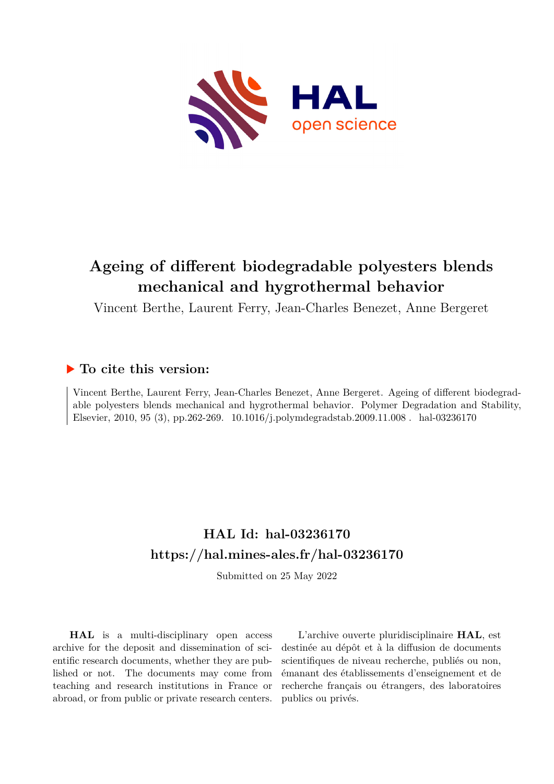

# **Ageing of different biodegradable polyesters blends mechanical and hygrothermal behavior**

Vincent Berthe, Laurent Ferry, Jean-Charles Benezet, Anne Bergeret

# **To cite this version:**

Vincent Berthe, Laurent Ferry, Jean-Charles Benezet, Anne Bergeret. Ageing of different biodegradable polyesters blends mechanical and hygrothermal behavior. Polymer Degradation and Stability, Elsevier, 2010, 95 (3), pp.262-269.  $10.1016/j.polymdegradstab.2009.11.008$ . hal-03236170

# **HAL Id: hal-03236170 <https://hal.mines-ales.fr/hal-03236170>**

Submitted on 25 May 2022

**HAL** is a multi-disciplinary open access archive for the deposit and dissemination of scientific research documents, whether they are published or not. The documents may come from teaching and research institutions in France or abroad, or from public or private research centers.

L'archive ouverte pluridisciplinaire **HAL**, est destinée au dépôt et à la diffusion de documents scientifiques de niveau recherche, publiés ou non, émanant des établissements d'enseignement et de recherche français ou étrangers, des laboratoires publics ou privés.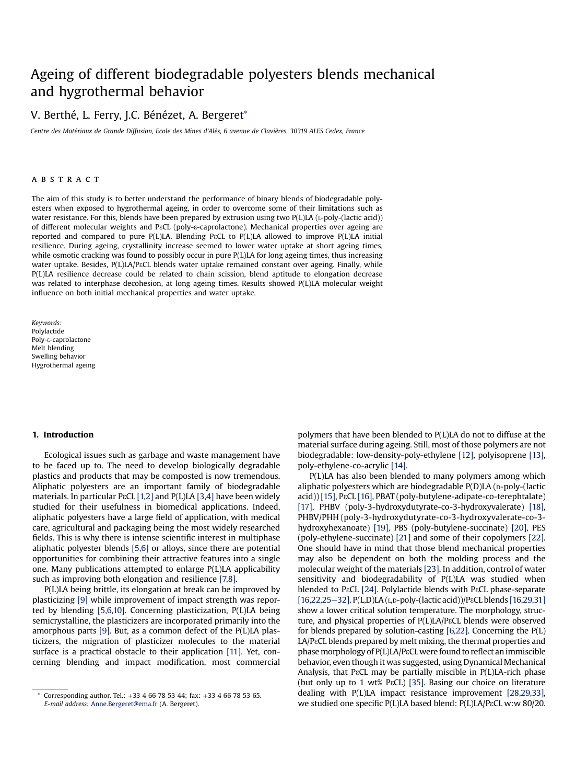# Ageing of different biodegradable polyesters blends mechanical and hygrothermal behavior

# V. Berthé, L. Ferry, J.C. Bénézet, A. Bergeret\*

Centre des Matériaux de Grande Diffusion, Ecole des Mines d'Alès, 6 avenue de Clavières, 30319 ALES Cedex, France

#### **ABSTRACT**

The aim of this study is to better understand the performance of binary blends of biodegradable polyesters when exposed to hygrothermal ageing, in order to overcome some of their limitations such as water resistance. For this, blends have been prepared by extrusion using two P(L)LA (L-poly-(lactic acid)) of different molecular weights and PεCL (poly-ε-caprolactone). Mechanical properties over ageing are reported and compared to pure P(L)LA. Blending P&CL to P(L)LA allowed to improve P(L)LA initial resilience. During ageing, crystallinity increase seemed to lower water uptake at short ageing times, while osmotic cracking was found to possibly occur in pure P(L)LA for long ageing times, thus increasing water uptake. Besides, P(L)LA/PECL blends water uptake remained constant over ageing. Finally, while P(L)LA resilience decrease could be related to chain scission, blend aptitude to elongation decrease was related to interphase decohesion, at long ageing times. Results showed P(L)LA molecular weight influence on both initial mechanical properties and water uptake.

Keywords: Polylactide Poly-ε-caprolactone Melt blending Swelling behavior Hygrothermal ageing

#### 1. Introduction

Ecological issues such as garbage and waste management have to be faced up to. The need to develop biologically degradable plastics and products that may be composted is now tremendous. Aliphatic polyesters are an important family of biodegradable materials. In particular P $\epsilon$ CL [1,2] and P(L)LA [3,4] have been widely studied for their usefulness in biomedical applications. Indeed, aliphatic polyesters have a large field of application, with medical care, agricultural and packaging being the most widely researched fields. This is why there is intense scientific interest in multiphase aliphatic polyester blends [5,6] or alloys, since there are potential opportunities for combining their attractive features into a single one. Many publications attempted to enlarge P(L)LA applicability such as improving both elongation and resilience [7,8].

P(L)LA being brittle, its elongation at break can be improved by plasticizing [9] while improvement of impact strength was reported by blending [5,6,10]. Concerning plasticization, P(L)LA being semicrystalline, the plasticizers are incorporated primarily into the amorphous parts [9]. But, as a common defect of the P(L)LA plasticizers, the migration of plasticizer molecules to the material surface is a practical obstacle to their application [11]. Yet, concerning blending and impact modification, most commercial polymers that have been blended to P(L)LA do not to diffuse at the material surface during ageing. Still, most of those polymers are not biodegradable: low-density-poly-ethylene [12], polyisoprene [13], poly-ethylene-co-acrylic [14].

P(L)LA has also been blended to many polymers among which aliphatic polyesters which are biodegradable  $P(D)LA$  ( $D-Doly$ -(lactic acid)) [15], P<sup>gCL</sup> [16], PBAT (poly-butylene-adipate-co-terephtalate) [17], PHBV (poly-3-hydroxydutyrate-co-3-hydroxyvalerate) [18], PHBV/PHH (poly-3-hydroxydutyrate-co-3-hydroxyvalerate-co-3 hydroxyhexanoate) [19], PBS (poly-butylene-succinate) [20], PES (poly-ethylene-succinate) [21] and some of their copolymers [22]. One should have in mind that those blend mechanical properties may also be dependent on both the molding process and the molecular weight of the materials [23]. In addition, control of water sensitivity and biodegradability of P(L)LA was studied when blended to P $\epsilon$ CL [24]. Polylactide blends with P $\epsilon$ CL phase-separate  $[16,22,25-32]$ . P(L,D)LA (L,D-poly-(lactic acid))/P $\epsilon$ CL blends  $[16,29,31]$ show a lower critical solution temperature. The morphology, structure, and physical properties of P(L)LA/PεCL blends were observed for blends prepared by solution-casting [6,22]. Concerning the P(L)  $LA/PeCL$  blends prepared by melt mixing, the thermal properties and phase morphology of P(L)LA/PεCL were found to reflect an immiscible behavior, even though it was suggested, using Dynamical Mechanical Analysis, that P&CL may be partially miscible in P(L)LA-rich phase (but only up to 1 wt% PECL) [35]. Basing our choice on literature dealing with P(L)LA impact resistance improvement [28,29,33], we studied one specific P(L)LA based blend: P(L)LA/P<sup>3</sup>CL w:w 80/20.

Corresponding author. Tel.:  $+33$  4 66 78 53 44; fax:  $+33$  4 66 78 53 65. E-mail address: [Anne.Bergeret@ema.fr](mailto:Anne.Bergeret@ema.fr) (A. Bergeret).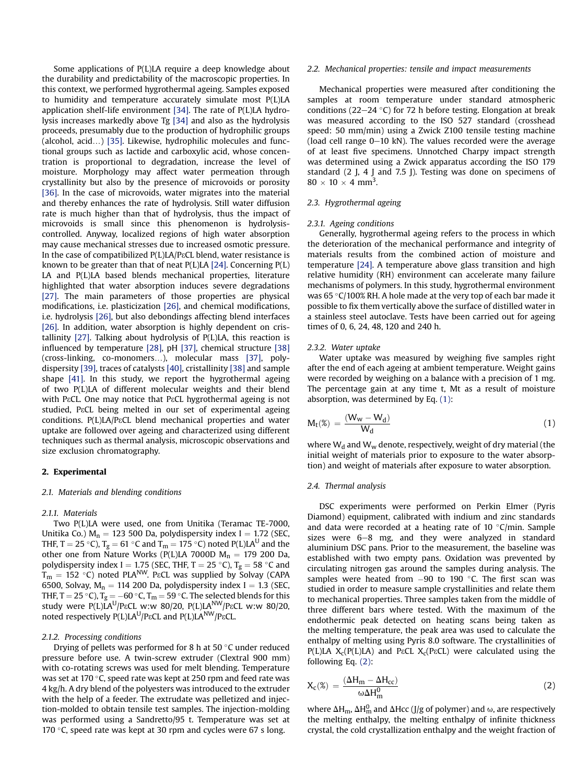Some applications of P(L)LA require a deep knowledge about the durability and predictability of the macroscopic properties. In this context, we performed hygrothermal ageing. Samples exposed to humidity and temperature accurately simulate most P(L)LA application shelf-life environment [34]. The rate of P(L)LA hydrolysis increases markedly above Tg [34] and also as the hydrolysis proceeds, presumably due to the production of hydrophilic groups (alcohol, acid.) [35]. Likewise, hydrophilic molecules and functional groups such as lactide and carboxylic acid, whose concentration is proportional to degradation, increase the level of moisture. Morphology may affect water permeation through crystallinity but also by the presence of microvoids or porosity [36]. In the case of microvoids, water migrates into the material and thereby enhances the rate of hydrolysis. Still water diffusion rate is much higher than that of hydrolysis, thus the impact of microvoids is small since this phenomenon is hydrolysiscontrolled. Anyway, localized regions of high water absorption may cause mechanical stresses due to increased osmotic pressure. In the case of compatibilized P(L)LA/P&CL blend, water resistance is known to be greater than that of neat  $P(L)LA$  [24]. Concerning  $P(L)$ LA and P(L)LA based blends mechanical properties, literature highlighted that water absorption induces severe degradations [27]. The main parameters of those properties are physical modifications, i.e. plasticization [26], and chemical modifications, i.e. hydrolysis [26], but also debondings affecting blend interfaces [26]. In addition, water absorption is highly dependent on cristallinity [27]. Talking about hydrolysis of P(L)LA, this reaction is influenced by temperature [28], pH [37], chemical structure [38] (cross-linking, co-monomers.), molecular mass [37], polydispersity [39], traces of catalysts [40], cristallinity [38] and sample shape [41]. In this study, we report the hygrothermal ageing of two P(L)LA of different molecular weights and their blend with P&CL. One may notice that P&CL hygrothermal ageing is not studied, P&CL being melted in our set of experimental ageing conditions. P(L)LA/P<sub>ε</sub>CL blend mechanical properties and water uptake are followed over ageing and characterized using different techniques such as thermal analysis, microscopic observations and size exclusion chromatography.

#### 2. Experimental

#### 2.1. Materials and blending conditions

#### 2.1.1. Materials

Two P(L)LA were used, one from Unitika (Teramac TE-7000, Unitika Co.)  $M_n = 123$  500 Da, polydispersity index I = 1.72 (SEC, THF, T = 25 °C), T<sub>g</sub> = 61 °C and T<sub>m</sub> = 175 °C) noted P(L)LA<sup>U</sup> and the other one from Nature Works (P(L)LA 7000D  $M_n = 179200$  Da, polydispersity index I = 1.75 (SEC, THF, T = 25 °C),  $T_g = 58$  °C and  $T_m = 152$  °C) noted PLA<sup>NW</sup>. P $\epsilon$ CL was supplied by Solvay (CAPA 6500, Solvay,  $M_n = 114 200$  Da, polydispersity index I = 1.3 (SEC, THF, T = 25 °C),  $T_g = -60$  °C,  $T_m = 59$  °C. The selected blends for this study were  $P(L)LA^{U}/P\epsilon CL$  w:w 80/20,  $P(L)LA^{NW}/P\epsilon CL$  w:w 80/20, noted respectively P(L)LA<sup>U</sup>/PεCL and P(L)LA<sup>NW</sup>/PεCL.

#### 2.1.2. Processing conditions

Drying of pellets was performed for 8 h at 50  $^{\circ}$ C under reduced pressure before use. A twin-screw extruder (Clextral 900 mm) with co-rotating screws was used for melt blending. Temperature was set at 170 °C, speed rate was kept at 250 rpm and feed rate was 4 kg/h. A dry blend of the polyesters was introduced to the extruder with the help of a feeder. The extrudate was pelletized and injection-molded to obtain tensile test samples. The injection-molding was performed using a Sandretto/95 t. Temperature was set at 170  $\degree$ C, speed rate was kept at 30 rpm and cycles were 67 s long.

#### 2.2. Mechanical properties: tensile and impact measurements

Mechanical properties were measured after conditioning the samples at room temperature under standard atmospheric conditions (22–24  $\degree$ C) for 72 h before testing. Elongation at break was measured according to the ISO 527 standard (crosshead speed: 50 mm/min) using a Zwick Z100 tensile testing machine (load cell range  $0-10$  kN). The values recorded were the average of at least five specimens. Unnotched Charpy impact strength was determined using a Zwick apparatus according the ISO 179 standard (2 J, 4 J and 7.5 J). Testing was done on specimens of  $80 \times 10 \times 4 \text{ mm}^3$ .

#### 2.3. Hygrothermal ageing

#### 2.3.1. Ageing conditions

Generally, hygrothermal ageing refers to the process in which the deterioration of the mechanical performance and integrity of materials results from the combined action of moisture and temperature [24]. A temperature above glass transition and high relative humidity (RH) environment can accelerate many failure mechanisms of polymers. In this study, hygrothermal environment was 65 °C/100% RH. A hole made at the very top of each bar made it possible to fix them vertically above the surface of distilled water in a stainless steel autoclave. Tests have been carried out for ageing times of 0, 6, 24, 48, 120 and 240 h.

#### 2.3.2. Water uptake

Water uptake was measured by weighing five samples right after the end of each ageing at ambient temperature. Weight gains were recorded by weighing on a balance with a precision of 1 mg. The percentage gain at any time t, Mt as a result of moisture absorption, was determined by Eq. (1):

$$
M_t(\mathscr{E}) = \frac{(W_w - W_d)}{W_d} \tag{1}
$$

where  $W_d$  and  $W_w$  denote, respectively, weight of dry material (the initial weight of materials prior to exposure to the water absorption) and weight of materials after exposure to water absorption.

#### 2.4. Thermal analysis

DSC experiments were performed on Perkin Elmer (Pyris Diamond) equipment, calibrated with indium and zinc standards and data were recorded at a heating rate of 10  $\degree$ C/min. Sample sizes were  $6-8$  mg, and they were analyzed in standard aluminium DSC pans. Prior to the measurement, the baseline was established with two empty pans. Oxidation was prevented by circulating nitrogen gas around the samples during analysis. The samples were heated from  $-90$  to 190 °C. The first scan was studied in order to measure sample crystallinities and relate them to mechanical properties. Three samples taken from the middle of three different bars where tested. With the maximum of the endothermic peak detected on heating scans being taken as the melting temperature, the peak area was used to calculate the enthalpy of melting using Pyris 8.0 software. The crystallinities of P(L)LA  $X_c(P(L)LA)$  and P $\epsilon$ CL  $X_c(P\epsilon CL)$  were calculated using the following Eq. (2):

$$
X_{c}(\%) = \frac{(\Delta H_{m} - \Delta H_{cc})}{\omega \Delta H_{m}^{0}}
$$
\n(2)

where  $\Delta H_m$ ,  $\Delta H_m^0$  and  $\Delta Hcc$  (J/g of polymer) and  $\omega$ , are respectively the melting enthalpy, the melting enthalpy of infinite thickness crystal, the cold crystallization enthalpy and the weight fraction of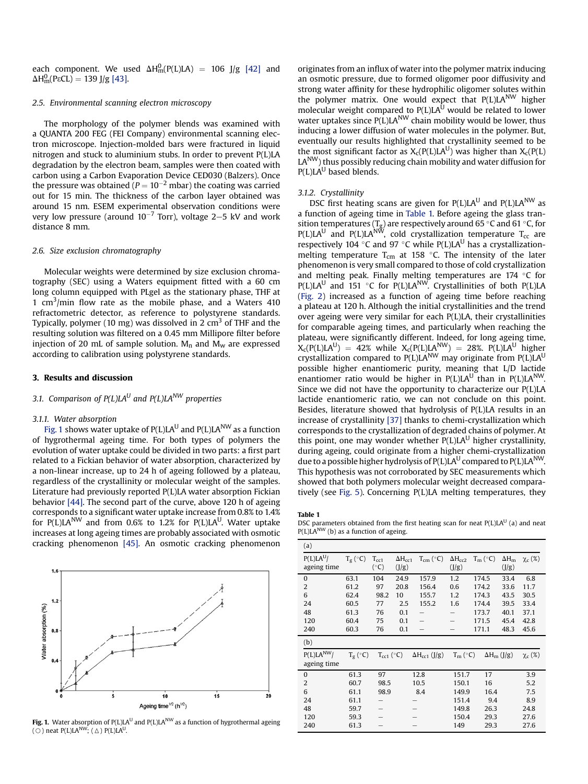each component. We used  $\Delta H_m^0(P(L)LA) = 106$  J/g [42] and ΔH<sub>m</sub>(PεCL) = 139 J/g [43].

#### 2.5. Environmental scanning electron microscopy

The morphology of the polymer blends was examined with a QUANTA 200 FEG (FEI Company) environmental scanning electron microscope. Injection-molded bars were fractured in liquid nitrogen and stuck to aluminium stubs. In order to prevent P(L)LA degradation by the electron beam, samples were then coated with carbon using a Carbon Evaporation Device CED030 (Balzers). Once the pressure was obtained ( $P = 10^{-2}$  mbar) the coating was carried out for 15 min. The thickness of the carbon layer obtained was around 15 nm. ESEM experimental observation conditions were very low pressure (around  $10^{-7}$  Torr), voltage 2–5 kV and work distance 8 mm.

#### 2.6. Size exclusion chromatography

Molecular weights were determined by size exclusion chromatography (SEC) using a Waters equipment fitted with a 60 cm long column equipped with PLgel as the stationary phase, THF at 1  $\text{cm}^3/\text{min}$  flow rate as the mobile phase, and a Waters 410 refractometric detector, as reference to polystyrene standards. Typically, polymer (10 mg) was dissolved in 2  $\text{cm}^3$  of THF and the resulting solution was filtered on a 0.45 mm Millipore filter before injection of 20 mL of sample solution.  $M_n$  and  $M_w$  are expressed according to calibration using polystyrene standards.

#### 3. Results and discussion

### 3.1. Comparison of  $P(L)LA<sup>U</sup>$  and  $P(L)LA<sup>NW</sup>$  properties

#### 3.1.1. Water absorption

Fig. 1 shows water uptake of  $P(L)LA^{U}$  and  $P(L)LA^{NW}$  as a function of hygrothermal ageing time. For both types of polymers the evolution of water uptake could be divided in two parts: a first part related to a Fickian behavior of water absorption, characterized by a non-linear increase, up to 24 h of ageing followed by a plateau, regardless of the crystallinity or molecular weight of the samples. Literature had previously reported P(L)LA water absorption Fickian behavior [44]. The second part of the curve, above 120 h of ageing corresponds to a significant water uptake increase from 0.8% to 1.4% for  $P(L)LA^{NW}$  and from 0.6% to 1.2% for  $P(L)LA^{U}$ . Water uptake increases at long ageing times are probably associated with osmotic cracking phenomenon [45]. An osmotic cracking phenomenon



Fig. 1. Water absorption of  $P(L)LA^{U}$  and  $P(L)LA^{NW}$  as a function of hygrothermal ageing (O) neat  $P(L)LA^{NW}$ ; ( $\triangle$ )  $P(L)LA^{U}$ .

originates from an influx of water into the polymer matrix inducing an osmotic pressure, due to formed oligomer poor diffusivity and strong water affinity for these hydrophilic oligomer solutes within the polymer matrix. One would expect that P(L)LA<sup>NW</sup> higher molecular weight compared to P(L)LA $^{\rm U}$  would be related to lower water uptakes since P(L)LA<sup>NW</sup> chain mobility would be lower, thus inducing a lower diffusion of water molecules in the polymer. But, eventually our results highlighted that crystallinity seemed to be the most significant factor as  $X_c(P(L)LA^U)$  was higher than  $X_c(P(L))$  $LA<sup>NW</sup>$ ) thus possibly reducing chain mobility and water diffusion for  $P(L)LA^{U}$  based blends.

#### 3.1.2. Crystallinity

DSC first heating scans are given for  $P(L)LA^{U}$  and  $P(L)LA^{NW}$  as a function of ageing time in Table 1. Before ageing the glass transition temperatures (T<sub>g</sub>) are respectively around 65 °C and 61 °C, for P(L)LA<sup>U</sup> and P(L)LA<sup>NW</sup>, cold crystallization temperature T<sub>cc</sub> are respectively 104 °C and 97 °C while P(L)LA<sup>U</sup> has a crystallizationmelting temperature  $T_{cm}$  at 158  $\degree$ C. The intensity of the later phenomenon is very small compared to those of cold crystallization and melting peak. Finally melting temperatures are 174  $\degree$ C for  $P(L)LA<sup>U</sup>$  and 151 °C for P(L)LA<sup>NW</sup>. Crystallinities of both P(L)LA (Fig. 2) increased as a function of ageing time before reaching a plateau at 120 h. Although the initial crystallinities and the trend over ageing were very similar for each P(L)LA, their crystallinities for comparable ageing times, and particularly when reaching the plateau, were significantly different. Indeed, for long ageing time,  $X_c(P(L)LA^U) = 42\%$  while  $X_c(P(L)LA^{NW}) = 28\%$ . P(L)LA<sup>U</sup> higher crystallization compared to  $P(L)LA^{NW}$  may originate from  $P(L)LA^{U}$ possible higher enantiomeric purity, meaning that L/D lactide enantiomer ratio would be higher in  $P(L)LA^{U}$  than in  $P(L)LA^{NW}$ . Since we did not have the opportunity to characterize our P(L)LA lactide enantiomeric ratio, we can not conclude on this point. Besides, literature showed that hydrolysis of P(L)LA results in an increase of crystallinity [37] thanks to chemi-crystallization which corresponds to the crystallization of degraded chains of polymer. At this point, one may wonder whether  $P(L)LA<sup>U</sup>$  higher crystallinity, during ageing, could originate from a higher chemi-crystallization due to a possible higher hydrolysis of  $P(L)LA<sup>U</sup>$  compared to  $P(L)LA<sup>NW</sup>$ . This hypothesis was not corroborated by SEC measurements which showed that both polymers molecular weight decreased comparatively (see Fig. 5). Concerning P(L)LA melting temperatures, they

Table 1

DSC parameters obtained from the first heating scan for neat  $P(L)LA<sup>U</sup>$  (a) and neat P(L)LA<sup>NW</sup> (b) as a function of ageing.

| (a)                          |                   |                           |                           |                               |                           |                   |                       |              |
|------------------------------|-------------------|---------------------------|---------------------------|-------------------------------|---------------------------|-------------------|-----------------------|--------------|
| $P(L)LA^{U}/$<br>ageing time | $T_g (^{\circ}C)$ | $T_{cc1}$<br>$(^\circ C)$ | $\Delta H_{cc1}$<br>(J/g) | $T_{cm}$ (°C)                 | $\Delta H_{cc2}$<br>(J/g) | $T_m (^{\circ}C)$ | $\Delta H_m$<br>(J/g) | $\chi_c(\%)$ |
| $\mathbf{0}$                 | 63.1              | 104                       | 24.9                      | 157.9                         | 1.2                       | 174.5             | 33.4                  | 6.8          |
| $\overline{2}$               | 61.2              | 97                        | 20.8                      | 156.4                         | 0.6                       | 174.2             | 33.6                  | 11.7         |
| 6                            | 62.4              | 98.2                      | 10                        | 155.7                         | 1.2                       | 174.3             | 43.5                  | 30.5         |
| 24                           | 60.5              | 77                        | 2.5                       | 155.2                         | 1.6                       | 174.4             | 39.5                  | 33.4         |
| 48                           | 61.3              | 76                        | 0.1                       |                               |                           | 173.7             | 40.1                  | 37.1         |
| 120                          | 60.4              | 75                        | 0.1                       |                               |                           | 171.5             | 45.4                  | 42.8         |
| 240                          | 60.3              | 76                        | 0.1                       |                               |                           | 171.1             | 48.3                  | 45.6         |
| (b)                          |                   |                           |                           |                               |                           |                   |                       |              |
|                              |                   |                           |                           |                               |                           |                   |                       |              |
| $P(L)LA^{NW}$<br>ageing time | $T_g (^\circ C)$  | $T_{cc1}$ (°C)            |                           | $\Delta H_{\text{cc1}}$ (J/g) | $T_m$ (°C)                |                   | $\Delta H_{m}$ (J/g)  | $\chi_c(\%)$ |
| $\mathbf{0}$                 | 61.3              | 97                        |                           | 12.8                          | 151.7                     | 17                |                       | 3.9          |
| 2                            | 60.7              | 98.5                      |                           | 10.5                          | 150.1                     | 16                |                       | 5.2          |
| 6                            | 61.1              | 98.9                      |                           | 8.4                           | 149.9                     | 16.4              |                       | 7.5          |
| 24                           | 61.1              | -                         |                           |                               | 151.4                     | 9.4               |                       | 8.9          |
| 48                           | 59.7              |                           |                           |                               | 149.8                     | 26.3              |                       | 24.8         |
| 120                          | 59.3              |                           |                           |                               | 150.4                     | 29.3              |                       | 27.6         |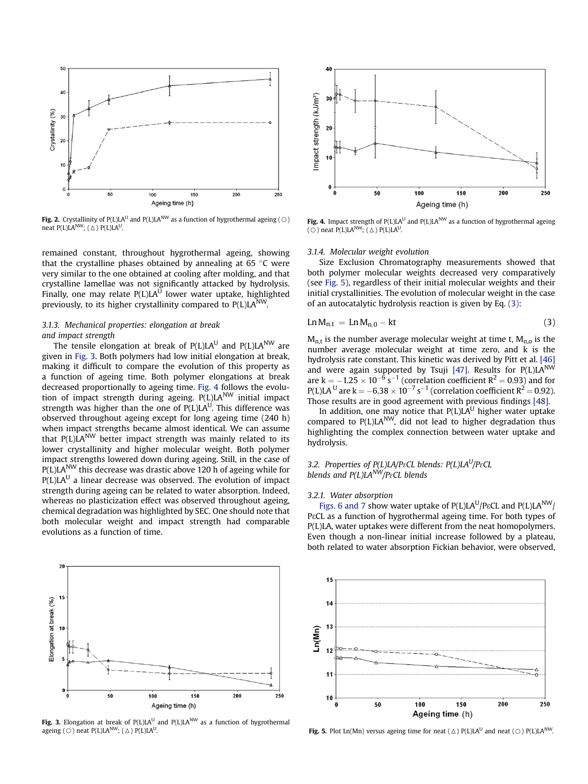

**Fig. 2.** Crystallinity of P(L)LA<sup>U</sup> and P(L)LA<sup>NW</sup> as a function of hygrothermal ageing ( $\odot$ ) neat P(L)LA<sup>NW</sup>; ( $\triangle$ ) P(L)LA<sup>U</sup>.

remained constant, throughout hygrothermal ageing, showing that the crystalline phases obtained by annealing at 65  $\degree$ C were very similar to the one obtained at cooling after molding, and that crystalline lamellae was not significantly attacked by hydrolysis. Finally, one may relate  $P(L)LA^{U}$  lower water uptake, highlighted previously, to its higher crystallinity compared to  $P(L)LA^{NW}$ .

## 3.1.3. Mechanical properties: elongation at break and impact strength

The tensile elongation at break of  $P(L)LA<sup>U</sup>$  and  $P(L)LA<sup>NW</sup>$  are given in Fig. 3. Both polymers had low initial elongation at break, making it difficult to compare the evolution of this property as a function of ageing time. Both polymer elongations at break decreased proportionally to ageing time. Fig. 4 follows the evolution of impact strength during ageing. P(L)LANW initial impact strength was higher than the one of  $P(L)LA^{U}$ . This difference was observed throughout ageing except for long ageing time (240 h) when impact strengths became almost identical. We can assume that  $P(L)\overline{L}A^{NW}$  better impact strength was mainly related to its lower crystallinity and higher molecular weight. Both polymer impact strengths lowered down during ageing. Still, in the case of P(L)LA<sup>NW</sup> this decrease was drastic above 120 h of ageing while for  $P(L)LA<sup>U</sup>$  a linear decrease was observed. The evolution of impact strength during ageing can be related to water absorption. Indeed, whereas no plasticization effect was observed throughout ageing, chemical degradation was highlighted by SEC. One should note that both molecular weight and impact strength had comparable evolutions as a function of time.



Fig. 3. Elongation at break of  $P(L)LA<sup>U</sup>$  and  $P(L)LA<sup>NW</sup>$  as a function of hygrothermal ageing ( $\bigcirc$ ) neat P(L)LA<sup>NW</sup>; ( $\triangle$ ) P(L)LA<sup>U</sup>.



Fig. 4. Impact strength of  $P(L)LA<sup>U</sup>$  and  $P(L)LA<sup>NW</sup>$  as a function of hygrothermal ageing ( $\bigcirc$ ) neat P(L)LA<sup>NW</sup>; ( $\bigtriangleup$ ) P(L)LA<sup>U</sup>.

#### 3.1.4. Molecular weight evolution

Size Exclusion Chromatography measurements showed that both polymer molecular weights decreased very comparatively (see Fig. 5), regardless of their initial molecular weights and their initial crystallinities. The evolution of molecular weight in the case of an autocatalytic hydrolysis reaction is given by Eq. (3):

$$
Ln M_{n,t} = Ln M_{n,0} - kt \tag{3}
$$

 $M<sub>n,t</sub>$  is the number average molecular weight at time t,  $M<sub>n,o</sub>$  is the number average molecular weight at time zero, and k is the hydrolysis rate constant. This kinetic was derived by Pitt et al. [46] and were again supported by Tsuji [47]. Results for  $P(L)LA^{NW}$ are  $k = -1.25 \times 10^{-6}$  s<sup>-1</sup> (correlation coefficient  $R^2 = 0.93$ ) and for P(L)LA <sup>U</sup> are k =  $-6.38 \times 10^{-7}$  s<sup>-1</sup> (correlation coefficient R<sup>2</sup> = 0.92). Those results are in good agreement with previous findings [48].

In addition, one may notice that  $P(L)LA^{U}$  higher water uptake compared to  $P(L)LA^{NW}$ , did not lead to higher degradation thus highlighting the complex connection between water uptake and hydrolysis.

### 3.2. Properties of  $P(L)LA/P\epsilon CL$  blends:  $P(L)LA^U/P\epsilon CL$ blends and  $P(L)LA^{NW}/P_{8}CL$  blends

#### 3.2.1. Water absorption

Figs. 6 and 7 show water uptake of  $P(L)LA<sup>U</sup>/P\epsilon CL$  and  $P(L)LA<sup>NW</sup>/P\epsilon CL$ P<sup>2</sup>CL as a function of hygrothermal ageing time. For both types of P(L)LA, water uptakes were different from the neat homopolymers. Even though a non-linear initial increase followed by a plateau, both related to water absorption Fickian behavior, were observed,



Fig. 5. Plot Ln(Mn) versus ageing time for neat ( $\Delta$ ) P(L)LA<sup>U</sup> and neat ( $\odot$ ) P(L)LA<sup>NW</sup>.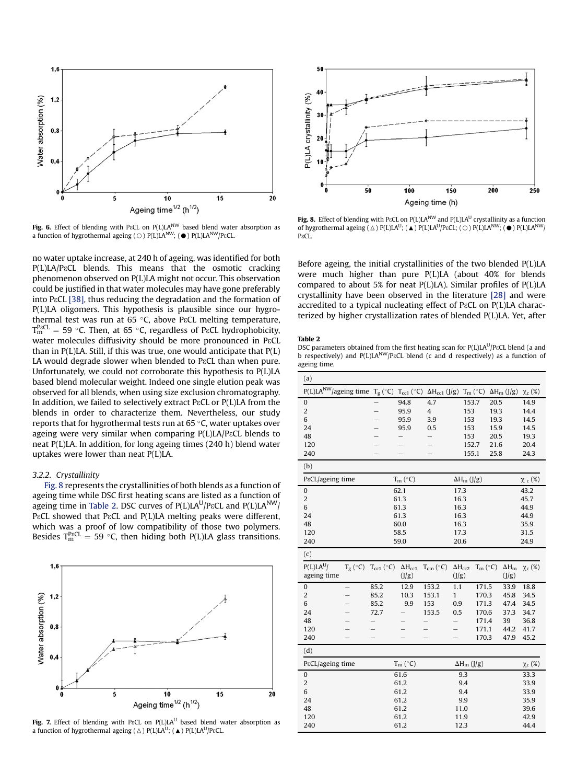

Fig. 6. Effect of blending with PECL on P(L)LA<sup>NW</sup> based blend water absorption as a function of hygrothermal ageing ( $\bigcirc$ ) P(L)LA<sup>NW</sup>; ( $\bullet$ ) P(L)LA<sup>NW</sup>/P<sub>8</sub>CL.

no water uptake increase, at 240 h of ageing, was identified for both P(L)LA/P<sup>εCL</sup> blends. This means that the osmotic cracking phenomenon observed on P(L)LA might not occur. This observation could be justified in that water molecules may have gone preferably into PECL [38], thus reducing the degradation and the formation of P(L)LA oligomers. This hypothesis is plausible since our hygrothermal test was run at 65 °C, above P $\operatorname{\mathsf{cCL}}$  melting temperature,  $T_{\rm m}^{\rm PgCL} = 59$  °C. Then, at 65 °C, regardless of P $\epsilon$ CL hydrophobicity, water molecules diffusivity should be more pronounced in P&CL than in P(L)LA. Still, if this was true, one would anticipate that P(L) LA would degrade slower when blended to P&CL than when pure. Unfortunately, we could not corroborate this hypothesis to P(L)LA based blend molecular weight. Indeed one single elution peak was observed for all blends, when using size exclusion chromatography. In addition, we failed to selectively extract P $\epsilon$ CL or P(L)LA from the blends in order to characterize them. Nevertheless, our study reports that for hygrothermal tests run at 65 °C, water uptakes over ageing were very similar when comparing  $P(L)LA/P\epsilon CL$  blends to neat P(L)LA. In addition, for long ageing times (240 h) blend water uptakes were lower than neat P(L)LA.

#### 3.2.2. Crystallinity

Fig. 8 represents the crystallinities of both blends as a function of ageing time while DSC first heating scans are listed as a function of ageing time in Table 2. DSC curves of  $P(L)LA^{U}/P\epsilon CL$  and  $P(L)LA^{NW}/P\epsilon CL$ P<sup>εCL</sup> showed that PεCL and P(L)LA melting peaks were different, which was a proof of low compatibility of those two polymers. Besides  $T_{\rm m}^{\rm P8CL} = 59$  °C, then hiding both P(L)LA glass transitions.



Fig. 7. Effect of blending with PECL on P(L)LA<sup>U</sup> based blend water absorption as a function of hygrothermal ageing ( $\triangle$ ) P(L)LA<sup>U</sup>; ( $\triangle$ ) P(L)LA<sup>U</sup>/P $\epsilon$ CL.



Fig. 8. Effect of blending with P $ECL$  on P(L)LA<sup>NW</sup> and P(L)LA<sup>U</sup> crystallinity as a function of hygrothermal ageing  $(\triangle)$  P(L)LA<sup>U</sup>; (A) P(L)LA<sup>U</sup>/P<sub>8</sub>CL;  $(\bigcirc)$  P(L)LA<sup>NW</sup>; (O) P(L)LA<sup>NW</sup>/ P<sub>g</sub>CL.

Before ageing, the initial crystallinities of the two blended P(L)LA were much higher than pure P(L)LA (about 40% for blends compared to about 5% for neat P(L)LA). Similar profiles of P(L)LA crystallinity have been observed in the literature [28] and were accredited to a typical nucleating effect of P $\epsilon$ CL on P(L)LA characterized by higher crystallization rates of blended P(L)LA. Yet, after

#### Table 2

DSC parameters obtained from the first heating scan for  $P(L)LA^{U}/P\epsilon CL$  blend (a and b respectively) and P(L)LA<sup>NW</sup>/P<sup>εCL</sup> blend (c and d respectively) as a function of ageing time.

| (a)                        |                          |                          |                         |                                                                                          |                    |                   |      |                    |              |
|----------------------------|--------------------------|--------------------------|-------------------------|------------------------------------------------------------------------------------------|--------------------|-------------------|------|--------------------|--------------|
| $P(L)LA^{NW}/$ ageing time |                          |                          |                         | $T_g\, (^{\circ}C)\,T_{cc1}\, (^{\circ}C)\,~ \Delta H_{cc1}\, (J/g)\,~T_m\, (^{\circ}C)$ |                    |                   |      | $\Delta H_m$ (J/g) | $\chi_c$ (%) |
| 0                          |                          |                          | 94.8                    | 4.7                                                                                      | 153.7              |                   | 20.5 |                    | 14.9         |
| $\overline{c}$             |                          | $\overline{\phantom{0}}$ | 95.9                    | $\overline{\mathbf{4}}$                                                                  | 153                |                   | 19.3 |                    | 14.4         |
| 6                          |                          |                          | 95.9                    | 3.9                                                                                      | 153                |                   | 19.3 |                    | 14.5         |
| 24                         |                          |                          | 95.9                    | 0.5                                                                                      | 153                |                   | 15.9 |                    | 14.5         |
| 48                         |                          |                          |                         |                                                                                          | 153                |                   | 20.5 |                    | 19.3         |
| 120                        |                          |                          |                         |                                                                                          | 152.7              |                   | 21.6 |                    | 20.4         |
| 240                        |                          |                          |                         |                                                                                          | 155.1              |                   | 25.8 |                    | 24.3         |
| (b)                        |                          |                          |                         |                                                                                          |                    |                   |      |                    |              |
| P&CL/ageing time           |                          | $T_m (°C)$               |                         |                                                                                          | $\Delta H_m$ (J/g) |                   |      | $\chi_c$ (%)       |              |
| $\bf{0}$                   |                          |                          | 62.1                    |                                                                                          | 17.3               |                   |      |                    | 43.2         |
| $\overline{c}$             | 61.3<br>16.3             |                          |                         |                                                                                          |                    |                   | 45.7 |                    |              |
| 6                          |                          |                          | 61.3                    |                                                                                          | 16.3               |                   |      |                    | 44.9         |
| 24                         | 61.3<br>16.3             |                          |                         |                                                                                          |                    |                   |      | 44.9               |              |
| 48                         | 60.0<br>16.3             |                          |                         |                                                                                          |                    |                   |      | 35.9               |              |
| 120                        |                          |                          | 58.5                    |                                                                                          | 17.3               |                   |      |                    | 31.5         |
| 240                        |                          |                          | 59.0                    |                                                                                          | 20.6               |                   |      |                    | 24.9         |
| (c)                        |                          |                          |                         |                                                                                          |                    |                   |      |                    |              |
| $P(L)LA^{U}/$              | $T_g$ (°C)               | $T_{cc1}$ (°C)           | $\Delta H_{cc1}$        | $T_{cm}$ (°C)                                                                            | $\Delta H_{cc2}$   | $T_m (^{\circ}C)$ |      | $\Delta H_m$       | $\chi_c(\%)$ |
| ageing time                |                          |                          | (J/g)                   |                                                                                          | (J/g)              |                   |      | (J/g)              |              |
| $\bf{0}$                   | $\overline{\phantom{0}}$ | 85.2                     | 12.9                    | 153.2                                                                                    | 1.1                | 171.5             |      | 33.9               | 18.8         |
| $\overline{c}$             |                          | 85.2                     | 10.3                    | 153.1                                                                                    | $\mathbf{1}$       | 170.3             |      | 45.8               | 34.5         |
| 6                          |                          | 85.2                     | 9.9                     | 153                                                                                      | 0.9                | 171.3             |      | 47.4               | 34.5         |
| 24                         |                          | 72.7                     |                         | 153.5                                                                                    | 0.5                | 170.6             |      | 37.3               | 34.7         |
| 48                         |                          |                          |                         |                                                                                          |                    | 171.4             |      | 39                 | 36.8         |
| 120                        |                          |                          |                         |                                                                                          |                    | 171.1             |      | 44.2               | 41.7         |
| 240                        |                          |                          |                         |                                                                                          |                    | 170.3             |      | 47.9               | 45.2         |
| (d)                        |                          |                          |                         |                                                                                          |                    |                   |      |                    |              |
| P&CL/ageing time           |                          |                          | $T_m$ ( ${}^{\circ}C$ ) |                                                                                          | $\Delta H_m$ (J/g) |                   |      |                    | $\chi_c(\%)$ |
| 0                          |                          |                          | 61.6                    |                                                                                          | 9.3                |                   |      |                    | 33.3         |
| $\overline{2}$             |                          |                          | 61.2                    |                                                                                          | 9.4                |                   |      |                    | 33.9         |
| 6                          |                          |                          | 61.2                    |                                                                                          | 9.4                |                   |      |                    | 33.9         |
| 24                         |                          |                          | 61.2                    |                                                                                          | 9.9                |                   |      |                    | 35.9         |
| 48                         |                          |                          | 61.2                    |                                                                                          | 11.0               |                   |      |                    | 39.6         |
| 120                        |                          |                          | 61.2                    |                                                                                          | 11.9               |                   |      |                    | 42.9         |
| 240                        |                          |                          | 61.2                    |                                                                                          | 12.3               |                   |      |                    | 44.4         |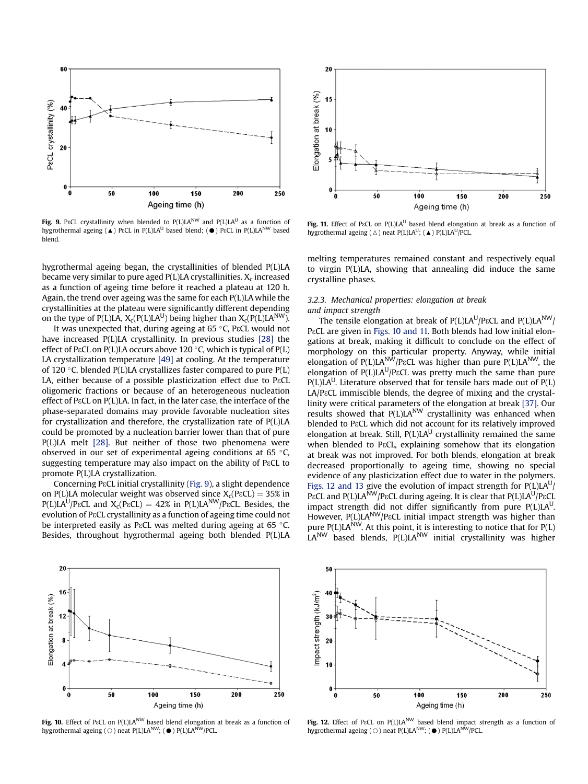

Fig. 9. PECL crystallinity when blended to  $P(L)LA^{NW}$  and  $P(L)LA^{U}$  as a function of hygrothermal ageing ( $\triangle$ ) P $\epsilon$ CL in P(L)LA<sup>U</sup> based blend; ( $\bullet$ ) P $\epsilon$ CL in P(L)LA<sup>NW</sup> based blend.

hygrothermal ageing began, the crystallinities of blended P(L)LA became very similar to pure aged  $P(L)LA$  crystallinities.  $X_c$  increased as a function of ageing time before it reached a plateau at 120 h. Again, the trend over ageing was the same for each P(L)LA while the crystallinities at the plateau were significantly different depending on the type of P(L)LA,  $X_c(P(L)LA^U)$  being higher than  $X_c(P(L)LA^{NW})$ .

It was unexpected that, during ageing at 65 °C, P $\mathrm{\varepsilon\mathsf{CL}}$  would not have increased P(L)LA crystallinity. In previous studies [28] the effect of PɛCL on P(L)LA occurs above 120 °C, which is typical of P(L) LA crystallization temperature [49] at cooling. At the temperature of 120 °C, blended P(L)LA crystallizes faster compared to pure P(L) LA, either because of a possible plasticization effect due to  $PeCL$ oligomeric fractions or because of an heterogeneous nucleation effect of PεCL on P(L)LA. In fact, in the later case, the interface of the phase-separated domains may provide favorable nucleation sites for crystallization and therefore, the crystallization rate of P(L)LA could be promoted by a nucleation barrier lower than that of pure P(L)LA melt [28]. But neither of those two phenomena were observed in our set of experimental ageing conditions at 65 °C, suggesting temperature may also impact on the ability of P<sub>ε</sub>CL to promote P(L)LA crystallization.

Concerning P3CL initial crystallinity (Fig. 9), a slight dependence on P(L)LA molecular weight was observed since  $X_c(P\varepsilon CL) = 35\%$  in  $P(L)LA^{U}/P\epsilon CL$  and  $X_c(P\epsilon CL) = 42\%$  in  $P(L)LA^{NW}/P\epsilon CL$ . Besides, the evolution of P&CL crystallinity as a function of ageing time could not be interpreted easily as P $\mathrm{cCL}$  was melted during ageing at 65 °C. Besides, throughout hygrothermal ageing both blended P(L)LA



Fig. 11. Effect of P $ECL$  on P(L)LA<sup>U</sup> based blend elongation at break as a function of hygrothermal ageing ( $\triangle$ ) neat P(L)LA<sup>U</sup>; ( $\triangle$ ) P(L)LA<sup>U</sup>/PCL.

melting temperatures remained constant and respectively equal to virgin P(L)LA, showing that annealing did induce the same crystalline phases.

## 3.2.3. Mechanical properties: elongation at break and impact strength

The tensile elongation at break of  $P(L)LA^{U}/P\epsilon CL$  and  $P(L)LA^{NW}/P\epsilon CL$ P<sup>ε</sup>CL are given in Figs. 10 and 11. Both blends had low initial elongations at break, making it difficult to conclude on the effect of morphology on this particular property. Anyway, while initial elongation of P(L)LA<sup>NW</sup>/P&CL was higher than pure P(L)LA<sup>NW</sup>, the elongation of  $P(L)LA^{U}/P\epsilon CL$  was pretty much the same than pure  $P(L)LA^{U}$ . Literature observed that for tensile bars made out of  $P(L)$ LA/P&CL immiscible blends, the degree of mixing and the crystallinity were critical parameters of the elongation at break [37]. Our results showed that P(L)LA<sup>NW</sup> crystallinity was enhanced when blended to P&CL which did not account for its relatively improved elongation at break. Still,  $P(L)LA<sup>U</sup>$  crystallinity remained the same when blended to PεCL, explaining somehow that its elongation at break was not improved. For both blends, elongation at break decreased proportionally to ageing time, showing no special evidence of any plasticization effect due to water in the polymers. Figs. 12 and 13 give the evolution of impact strength for P(L)LA<sup>U</sup>/ PɛCL and P(L)LA $^{\rm NW}$ /PɛCL during ageing. It is clear that P(L)LA $^{\rm U}$ /PɛCL impact strength did not differ significantly from pure  $P(L)LA<sup>U</sup>$ . However, P(L)LA<sup>NW</sup>/P<sup>εCL</sup> initial impact strength was higher than pure  $P(L)LA^{NW}$ . At this point, it is interesting to notice that for  $P(L)$ LANW based blends, P(L)LANW initial crystallinity was higher



Fig. 10. Effect of P&CL on P(L)LA<sup>NW</sup> based blend elongation at break as a function of hygrothermal ageing ( $\bigcirc$ ) neat P(L)LA<sup>NW</sup>; ( $\bigcirc$ ) P(L)LA<sup>NW</sup>/PCL.



Fig. 12. Effect of PECL on P(L)LA<sup>NW</sup> based blend impact strength as a function of hygrothermal ageing ( $\bigcirc$ ) neat P(L)LA<sup>NW</sup>; ( $\bigcirc$ ) P(L)LA<sup>NW</sup>/PCL.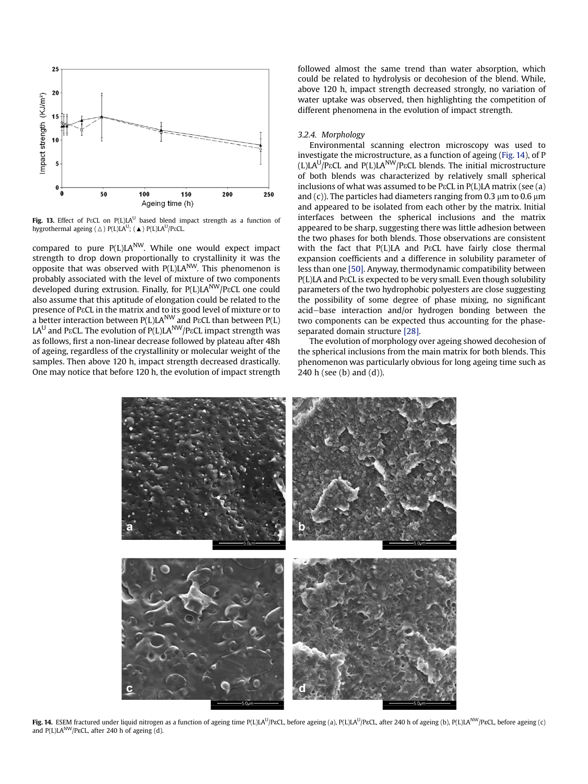

Fig. 13. Effect of PECL on P(L)LA<sup>U</sup> based blend impact strength as a function of hygrothermal ageing ( $\Delta$ ) P(L)LA<sup>U</sup>; ( $\blacktriangle$ ) P(L)LA<sup>U</sup>/P<sub>8</sub>CL.

compared to pure  $P(L)LA^{NW}$ . While one would expect impact strength to drop down proportionally to crystallinity it was the opposite that was observed with  $P(L)LA^{NW}$ . This phenomenon is probably associated with the level of mixture of two components developed during extrusion. Finally, for P(L)LA<sup>NW</sup>/P&CL one could also assume that this aptitude of elongation could be related to the presence of P&CL in the matrix and to its good level of mixture or to a better interaction between  $P(L)LA^{NW}$  and P $ECL$  than between  $P(L)$ LAU and P $\epsilon$ CL. The evolution of  $P(L)LA<sup>NW</sup>/P\epsilon$ CL impact strength was as follows, first a non-linear decrease followed by plateau after 48h of ageing, regardless of the crystallinity or molecular weight of the samples. Then above 120 h, impact strength decreased drastically. One may notice that before 120 h, the evolution of impact strength followed almost the same trend than water absorption, which could be related to hydrolysis or decohesion of the blend. While, above 120 h, impact strength decreased strongly, no variation of water uptake was observed, then highlighting the competition of different phenomena in the evolution of impact strength.

#### 3.2.4. Morphology

Environmental scanning electron microscopy was used to investigate the microstructure, as a function of ageing (Fig. 14), of P (L)LA<sup>U</sup>/P $\epsilon$ CL and P(L)LA<sup>NW</sup>/P $\epsilon$ CL blends. The initial microstructure of both blends was characterized by relatively small spherical inclusions of what was assumed to be P $\epsilon$ CL in P(L)LA matrix (see (a) and (c)). The particles had diameters ranging from 0.3  $\mu$ m to 0.6  $\mu$ m and appeared to be isolated from each other by the matrix. Initial interfaces between the spherical inclusions and the matrix appeared to be sharp, suggesting there was little adhesion between the two phases for both blends. Those observations are consistent with the fact that P(L)LA and P&CL have fairly close thermal expansion coefficients and a difference in solubility parameter of less than one [50]. Anyway, thermodynamic compatibility between P(L)LA and P&CL is expected to be very small. Even though solubility parameters of the two hydrophobic polyesters are close suggesting the possibility of some degree of phase mixing, no significant acid-base interaction and/or hydrogen bonding between the two components can be expected thus accounting for the phaseseparated domain structure [28].

The evolution of morphology over ageing showed decohesion of the spherical inclusions from the main matrix for both blends. This phenomenon was particularly obvious for long ageing time such as 240 h (see (b) and (d)).



Fig. 14. ESEM fractured under liquid nitrogen as a function of ageing time P(L)LA<sup>U</sup>/P&CL, before ageing (a), P(L)LA<sup>U</sup>/P&CL, after 240 h of ageing (b), P(L)LA<sup>NW</sup>/P&CL, before ageing (c) and P(L)LA<sup>NW</sup>/PECL, after 240 h of ageing (d).